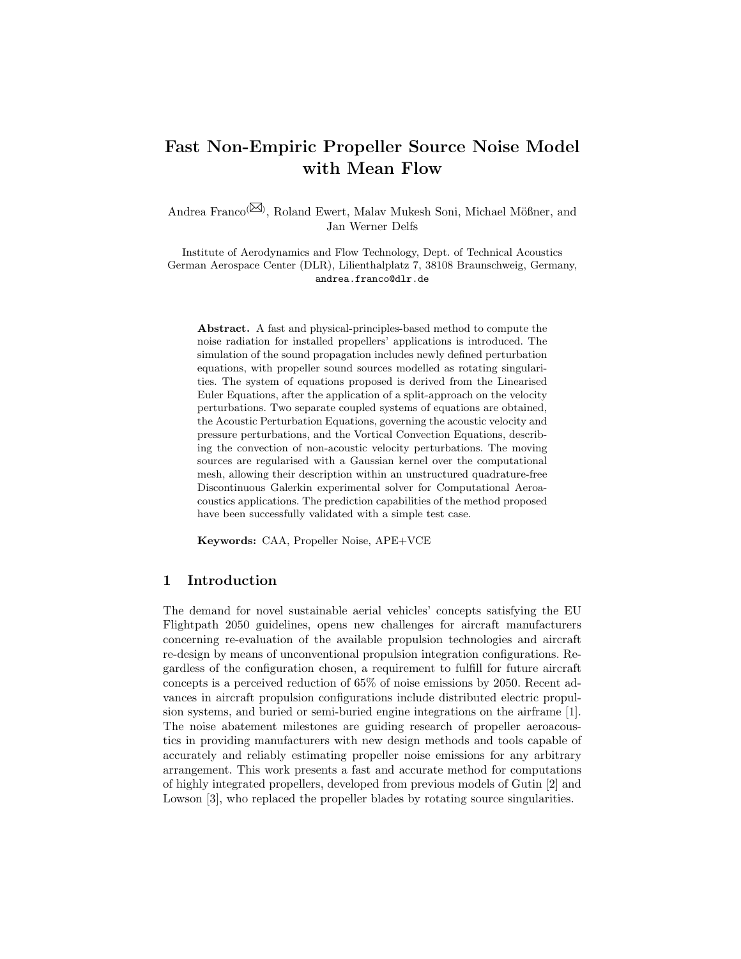# Fast Non-Empiric Propeller Source Noise Model with Mean Flow

Andrea Franco<sup>(XX)</sup>, Roland Ewert, Malav Mukesh Soni, Michael Mößner, and Jan Werner Delfs

Institute of Aerodynamics and Flow Technology, Dept. of Technical Acoustics German Aerospace Center (DLR), Lilienthalplatz 7, 38108 Braunschweig, Germany, andrea.franco@dlr.de

Abstract. A fast and physical-principles-based method to compute the noise radiation for installed propellers' applications is introduced. The simulation of the sound propagation includes newly defined perturbation equations, with propeller sound sources modelled as rotating singularities. The system of equations proposed is derived from the Linearised Euler Equations, after the application of a split-approach on the velocity perturbations. Two separate coupled systems of equations are obtained, the Acoustic Perturbation Equations, governing the acoustic velocity and pressure perturbations, and the Vortical Convection Equations, describing the convection of non-acoustic velocity perturbations. The moving sources are regularised with a Gaussian kernel over the computational mesh, allowing their description within an unstructured quadrature-free Discontinuous Galerkin experimental solver for Computational Aeroacoustics applications. The prediction capabilities of the method proposed have been successfully validated with a simple test case.

Keywords: CAA, Propeller Noise, APE+VCE

## 1 Introduction

The demand for novel sustainable aerial vehicles' concepts satisfying the EU Flightpath 2050 guidelines, opens new challenges for aircraft manufacturers concerning re-evaluation of the available propulsion technologies and aircraft re-design by means of unconventional propulsion integration configurations. Regardless of the configuration chosen, a requirement to fulfill for future aircraft concepts is a perceived reduction of 65% of noise emissions by 2050. Recent advances in aircraft propulsion configurations include distributed electric propulsion systems, and buried or semi-buried engine integrations on the airframe [1]. The noise abatement milestones are guiding research of propeller aeroacoustics in providing manufacturers with new design methods and tools capable of accurately and reliably estimating propeller noise emissions for any arbitrary arrangement. This work presents a fast and accurate method for computations of highly integrated propellers, developed from previous models of Gutin [2] and Lowson [3], who replaced the propeller blades by rotating source singularities.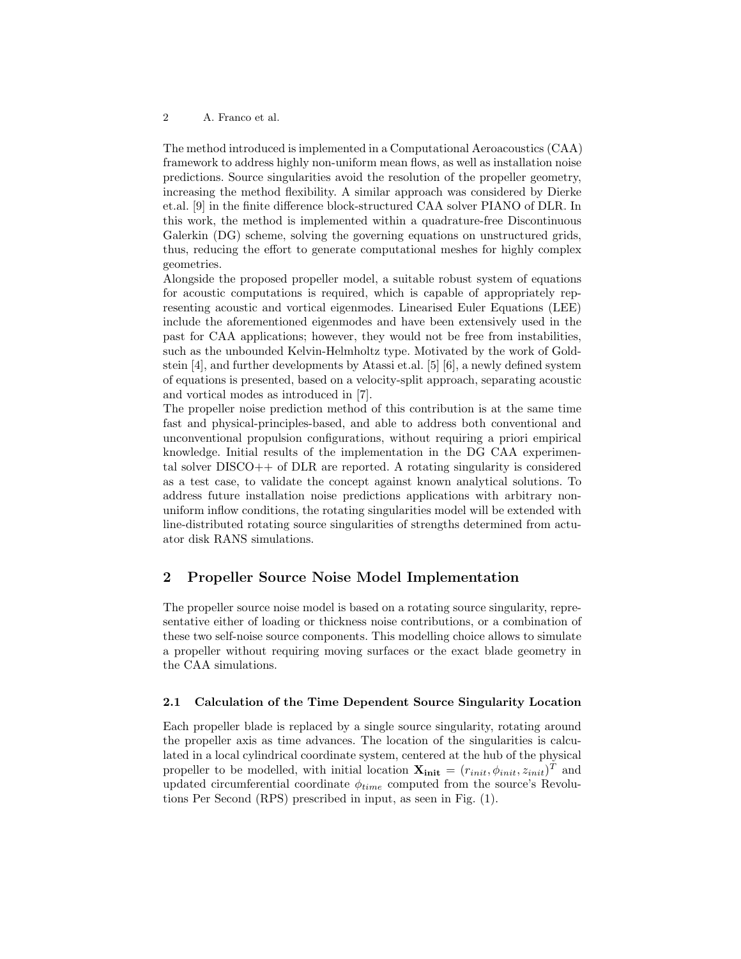#### 2 A. Franco et al.

The method introduced is implemented in a Computational Aeroacoustics (CAA) framework to address highly non-uniform mean flows, as well as installation noise predictions. Source singularities avoid the resolution of the propeller geometry, increasing the method flexibility. A similar approach was considered by Dierke et.al. [9] in the finite difference block-structured CAA solver PIANO of DLR. In this work, the method is implemented within a quadrature-free Discontinuous Galerkin (DG) scheme, solving the governing equations on unstructured grids, thus, reducing the effort to generate computational meshes for highly complex geometries.

Alongside the proposed propeller model, a suitable robust system of equations for acoustic computations is required, which is capable of appropriately representing acoustic and vortical eigenmodes. Linearised Euler Equations (LEE) include the aforementioned eigenmodes and have been extensively used in the past for CAA applications; however, they would not be free from instabilities, such as the unbounded Kelvin-Helmholtz type. Motivated by the work of Goldstein [4], and further developments by Atassi et.al. [5] [6], a newly defined system of equations is presented, based on a velocity-split approach, separating acoustic and vortical modes as introduced in [7].

The propeller noise prediction method of this contribution is at the same time fast and physical-principles-based, and able to address both conventional and unconventional propulsion configurations, without requiring a priori empirical knowledge. Initial results of the implementation in the DG CAA experimental solver DISCO++ of DLR are reported. A rotating singularity is considered as a test case, to validate the concept against known analytical solutions. To address future installation noise predictions applications with arbitrary nonuniform inflow conditions, the rotating singularities model will be extended with line-distributed rotating source singularities of strengths determined from actuator disk RANS simulations.

# 2 Propeller Source Noise Model Implementation

The propeller source noise model is based on a rotating source singularity, representative either of loading or thickness noise contributions, or a combination of these two self-noise source components. This modelling choice allows to simulate a propeller without requiring moving surfaces or the exact blade geometry in the CAA simulations.

## 2.1 Calculation of the Time Dependent Source Singularity Location

Each propeller blade is replaced by a single source singularity, rotating around the propeller axis as time advances. The location of the singularities is calculated in a local cylindrical coordinate system, centered at the hub of the physical propeller to be modelled, with initial location  $\mathbf{X_{init}} = (r_{init}, \phi_{init}, z_{init})^T$  and updated circumferential coordinate  $\phi_{time}$  computed from the source's Revolutions Per Second (RPS) prescribed in input, as seen in Fig. (1).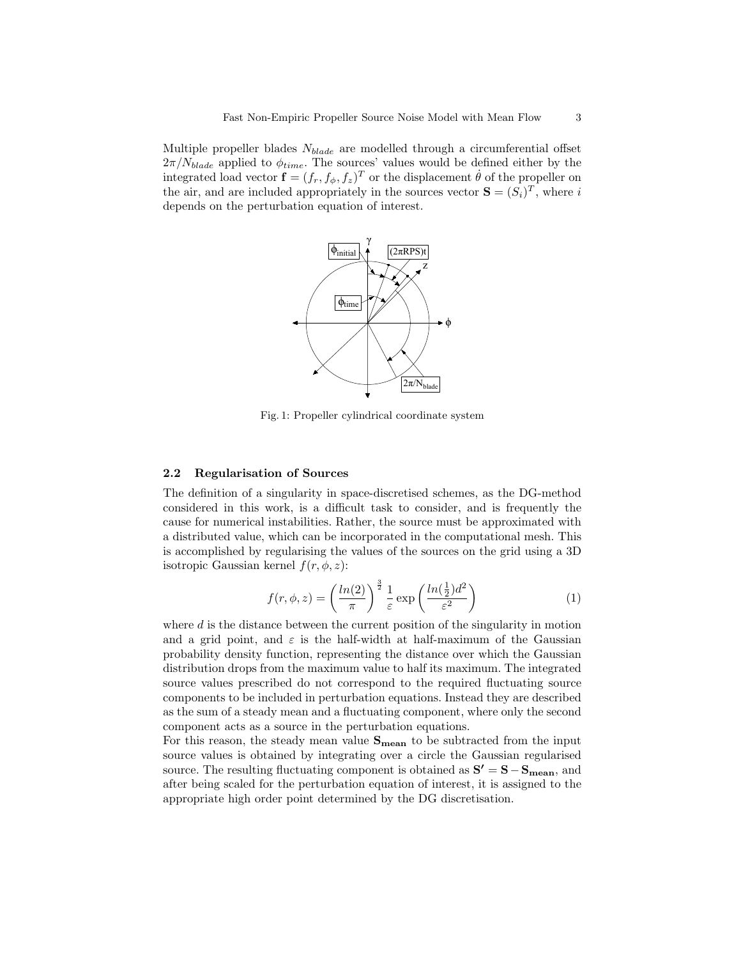Multiple propeller blades  $N_{black}$  are modelled through a circumferential offset  $2\pi/N_{black}$  applied to  $\phi_{time}$ . The sources' values would be defined either by the integrated load vector  $\mathbf{f} = (f_r, f_\phi, f_z)^T$  or the displacement  $\dot{\theta}$  of the propeller on the air, and are included appropriately in the sources vector  $\mathbf{S} = (S_i)^T$ , where i depends on the perturbation equation of interest.



Fig. 1: Propeller cylindrical coordinate system

#### 2.2 Regularisation of Sources

The definition of a singularity in space-discretised schemes, as the DG-method considered in this work, is a difficult task to consider, and is frequently the cause for numerical instabilities. Rather, the source must be approximated with a distributed value, which can be incorporated in the computational mesh. This is accomplished by regularising the values of the sources on the grid using a 3D isotropic Gaussian kernel  $f(r, \phi, z)$ :

$$
f(r,\phi,z) = \left(\frac{\ln(2)}{\pi}\right)^{\frac{3}{2}} \frac{1}{\varepsilon} \exp\left(\frac{\ln(\frac{1}{2})d^2}{\varepsilon^2}\right)
$$
 (1)

where  $d$  is the distance between the current position of the singularity in motion and a grid point, and  $\varepsilon$  is the half-width at half-maximum of the Gaussian probability density function, representing the distance over which the Gaussian distribution drops from the maximum value to half its maximum. The integrated source values prescribed do not correspond to the required fluctuating source components to be included in perturbation equations. Instead they are described as the sum of a steady mean and a fluctuating component, where only the second component acts as a source in the perturbation equations.

For this reason, the steady mean value  $S_{mean}$  to be subtracted from the input source values is obtained by integrating over a circle the Gaussian regularised source. The resulting fluctuating component is obtained as  $S' = S - S_{mean}$ , and after being scaled for the perturbation equation of interest, it is assigned to the appropriate high order point determined by the DG discretisation.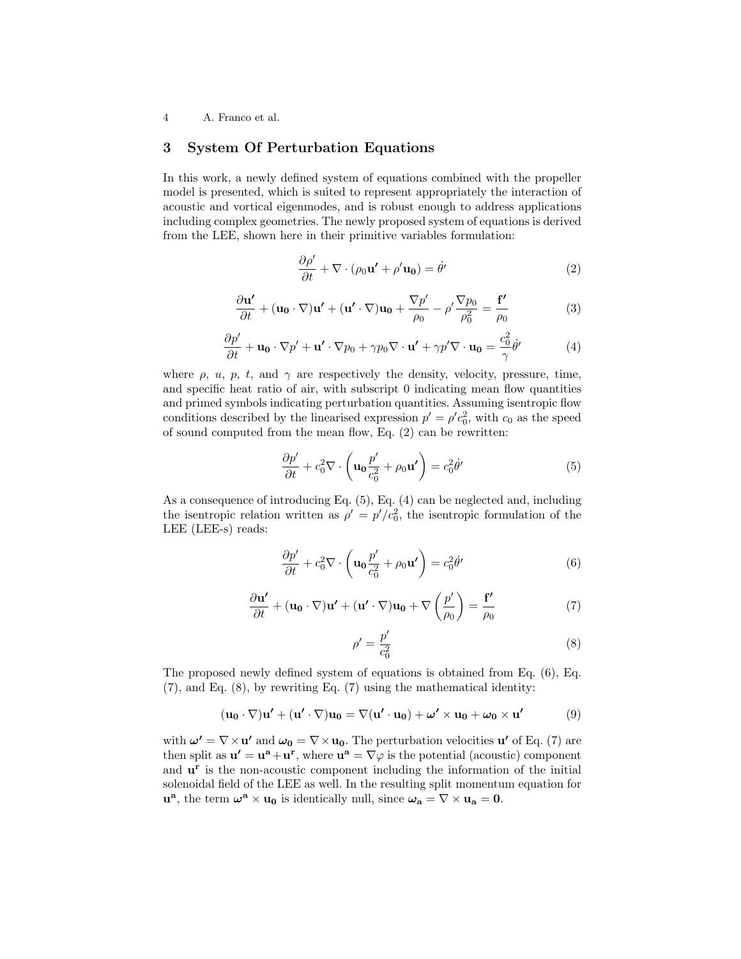4 A. Franco et al.

# 3 System Of Perturbation Equations

In this work, a newly defined system of equations combined with the propeller model is presented, which is suited to represent appropriately the interaction of acoustic and vortical eigenmodes, and is robust enough to address applications including complex geometries. The newly proposed system of equations is derived from the LEE, shown here in their primitive variables formulation:

$$
\frac{\partial \rho'}{\partial t} + \nabla \cdot (\rho_0 \mathbf{u'} + \rho' \mathbf{u_0}) = \dot{\theta}' \tag{2}
$$

$$
\frac{\partial \mathbf{u'}}{\partial t} + (\mathbf{u_0} \cdot \nabla) \mathbf{u'} + (\mathbf{u'} \cdot \nabla) \mathbf{u_0} + \frac{\nabla p'}{\rho_0} - \rho' \frac{\nabla p_0}{\rho_0^2} = \frac{\mathbf{f'}}{\rho_0}
$$
(3)

$$
\frac{\partial p'}{\partial t} + \mathbf{u_0} \cdot \nabla p' + \mathbf{u'} \cdot \nabla p_0 + \gamma p_0 \nabla \cdot \mathbf{u'} + \gamma p' \nabla \cdot \mathbf{u_0} = \frac{c_0^2}{\gamma} \dot{\theta'}
$$
(4)

where  $\rho$ ,  $u$ ,  $p$ ,  $t$ , and  $\gamma$  are respectively the density, velocity, pressure, time, and specific heat ratio of air, with subscript 0 indicating mean flow quantities and primed symbols indicating perturbation quantities. Assuming isentropic flow conditions described by the linearised expression  $p' = \rho' c_0^2$ , with  $c_0$  as the speed of sound computed from the mean flow, Eq. (2) can be rewritten:

$$
\frac{\partial p'}{\partial t} + c_0^2 \nabla \cdot \left( \mathbf{u}_0 \frac{p'}{c_0^2} + \rho_0 \mathbf{u'} \right) = c_0^2 \dot{\theta'}
$$
 (5)

As a consequence of introducing Eq. (5), Eq. (4) can be neglected and, including the isentropic relation written as  $\rho' = p'/c_0^2$ , the isentropic formulation of the LEE (LEE-s) reads:

$$
\frac{\partial p'}{\partial t} + c_0^2 \nabla \cdot \left( \mathbf{u}_0 \frac{p'}{c_0^2} + \rho_0 \mathbf{u'} \right) = c_0^2 \dot{\theta'}
$$
 (6)

$$
\frac{\partial \mathbf{u'}}{\partial t} + (\mathbf{u_0} \cdot \nabla) \mathbf{u'} + (\mathbf{u'} \cdot \nabla) \mathbf{u_0} + \nabla \left(\frac{p'}{\rho_0}\right) = \frac{\mathbf{f'}}{\rho_0}
$$
(7)

$$
\rho' = \frac{p'}{c_0^2} \tag{8}
$$

The proposed newly defined system of equations is obtained from Eq. (6), Eq. (7), and Eq. (8), by rewriting Eq. (7) using the mathematical identity:

$$
(\mathbf{u}_0 \cdot \nabla) \mathbf{u}' + (\mathbf{u}' \cdot \nabla) \mathbf{u}_0 = \nabla (\mathbf{u}' \cdot \mathbf{u}_0) + \boldsymbol{\omega}' \times \mathbf{u}_0 + \boldsymbol{\omega}_0 \times \mathbf{u}'
$$
 (9)

with  $\boldsymbol{\omega'} = \nabla \times \mathbf{u'}$  and  $\boldsymbol{\omega_0} = \nabla \times \mathbf{u_0}$ . The perturbation velocities  $\mathbf{u'}$  of Eq. (7) are then split as  $\mathbf{u}' = \mathbf{u}^{\mathbf{a}} + \mathbf{u}^{\mathbf{r}}$ , where  $\mathbf{u}^{\mathbf{a}} = \nabla \varphi$  is the potential (acoustic) component and  $\mathbf{u}^{\mathbf{r}}$  is the non-acoustic component including the information of the initial solenoidal field of the LEE as well. In the resulting split momentum equation for  $\mathbf{u}^{\mathbf{a}}$ , the term  $\boldsymbol{\omega}^{\mathbf{a}} \times \mathbf{u}_0$  is identically null, since  $\boldsymbol{\omega}_\mathbf{a} = \nabla \times \mathbf{u}_\mathbf{a} = \mathbf{0}$ .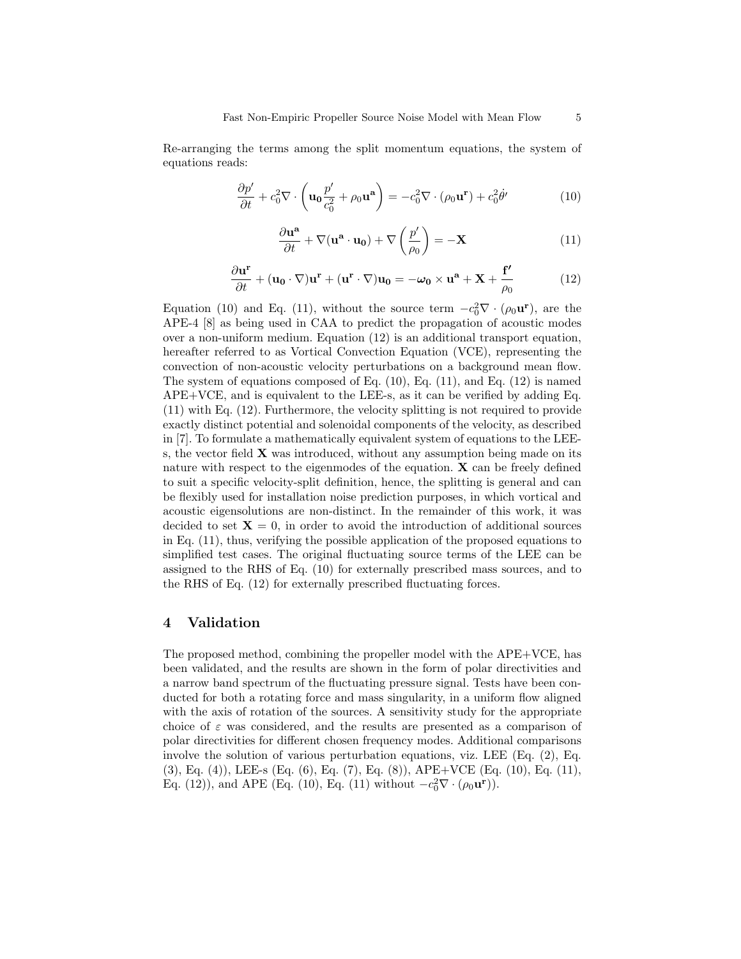Re-arranging the terms among the split momentum equations, the system of equations reads:

$$
\frac{\partial p'}{\partial t} + c_0^2 \nabla \cdot \left( \mathbf{u}_0 \frac{p'}{c_0^2} + \rho_0 \mathbf{u}^{\mathbf{a}} \right) = -c_0^2 \nabla \cdot (\rho_0 \mathbf{u}^{\mathbf{r}}) + c_0^2 \dot{\theta}' \tag{10}
$$

$$
\frac{\partial \mathbf{u}^{\mathbf{a}}}{\partial t} + \nabla(\mathbf{u}^{\mathbf{a}} \cdot \mathbf{u}_0) + \nabla \left(\frac{p'}{\rho_0}\right) = -\mathbf{X}
$$
 (11)

$$
\frac{\partial \mathbf{u}^{\mathbf{r}}}{\partial t} + (\mathbf{u}_{0} \cdot \nabla) \mathbf{u}^{\mathbf{r}} + (\mathbf{u}^{\mathbf{r}} \cdot \nabla) \mathbf{u}_{0} = -\boldsymbol{\omega}_{0} \times \mathbf{u}^{\mathbf{a}} + \mathbf{X} + \frac{\mathbf{f}'}{\rho_{0}}
$$
(12)

Equation (10) and Eq. (11), without the source term  $-c_0^2 \nabla \cdot (\rho_0 \mathbf{u}^{\mathbf{r}})$ , are the APE-4 [8] as being used in CAA to predict the propagation of acoustic modes over a non-uniform medium. Equation (12) is an additional transport equation, hereafter referred to as Vortical Convection Equation (VCE), representing the convection of non-acoustic velocity perturbations on a background mean flow. The system of equations composed of Eq.  $(10)$ , Eq.  $(11)$ , and Eq.  $(12)$  is named APE+VCE, and is equivalent to the LEE-s, as it can be verified by adding Eq. (11) with Eq. (12). Furthermore, the velocity splitting is not required to provide exactly distinct potential and solenoidal components of the velocity, as described in [7]. To formulate a mathematically equivalent system of equations to the LEEs, the vector field  $X$  was introduced, without any assumption being made on its nature with respect to the eigenmodes of the equation.  $\bf{X}$  can be freely defined to suit a specific velocity-split definition, hence, the splitting is general and can be flexibly used for installation noise prediction purposes, in which vortical and acoustic eigensolutions are non-distinct. In the remainder of this work, it was decided to set  $X = 0$ , in order to avoid the introduction of additional sources in Eq. (11), thus, verifying the possible application of the proposed equations to simplified test cases. The original fluctuating source terms of the LEE can be assigned to the RHS of Eq. (10) for externally prescribed mass sources, and to the RHS of Eq. (12) for externally prescribed fluctuating forces.

## 4 Validation

The proposed method, combining the propeller model with the APE+VCE, has been validated, and the results are shown in the form of polar directivities and a narrow band spectrum of the fluctuating pressure signal. Tests have been conducted for both a rotating force and mass singularity, in a uniform flow aligned with the axis of rotation of the sources. A sensitivity study for the appropriate choice of  $\varepsilon$  was considered, and the results are presented as a comparison of polar directivities for different chosen frequency modes. Additional comparisons involve the solution of various perturbation equations, viz. LEE (Eq. (2), Eq. (3), Eq. (4)), LEE-s (Eq. (6), Eq. (7), Eq. (8)), APE+VCE (Eq. (10), Eq. (11), Eq. (12)), and APE (Eq. (10), Eq. (11) without  $-c_0^2 \nabla \cdot (\rho_0 \mathbf{u}^{\mathbf{r}})$ ).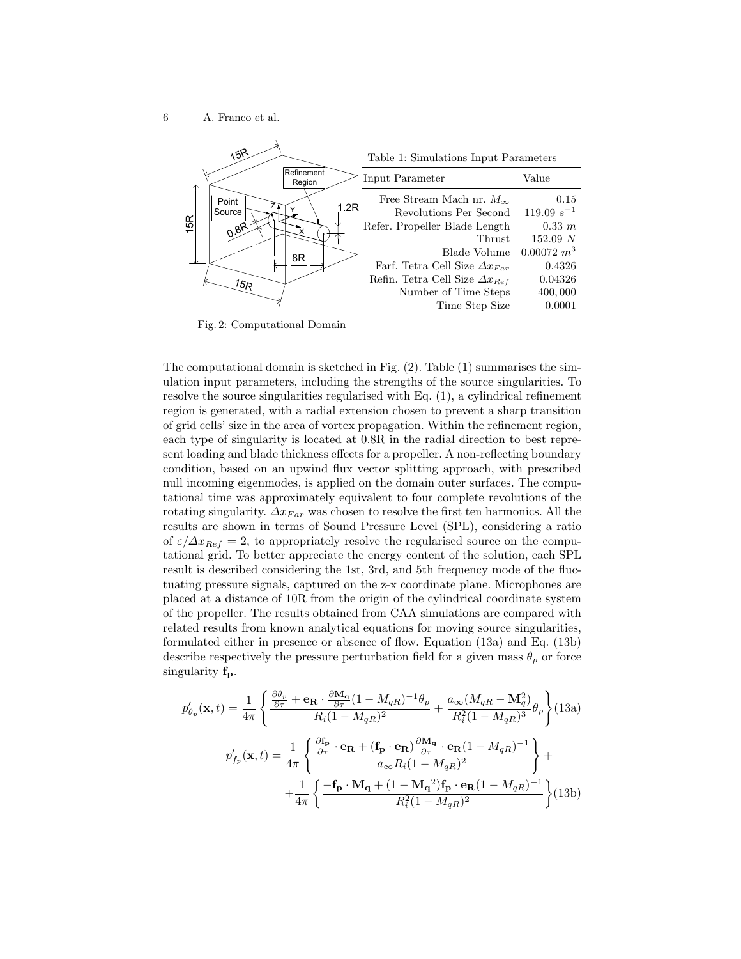

Fig. 2: Computational Domain

The computational domain is sketched in Fig. (2). Table (1) summarises the simulation input parameters, including the strengths of the source singularities. To resolve the source singularities regularised with Eq. (1), a cylindrical refinement region is generated, with a radial extension chosen to prevent a sharp transition of grid cells' size in the area of vortex propagation. Within the refinement region, each type of singularity is located at 0.8R in the radial direction to best represent loading and blade thickness effects for a propeller. A non-reflecting boundary condition, based on an upwind flux vector splitting approach, with prescribed null incoming eigenmodes, is applied on the domain outer surfaces. The computational time was approximately equivalent to four complete revolutions of the rotating singularity.  $\Delta x_{Far}$  was chosen to resolve the first ten harmonics. All the results are shown in terms of Sound Pressure Level (SPL), considering a ratio of  $\varepsilon/\Delta x_{Ref} = 2$ , to appropriately resolve the regularised source on the computational grid. To better appreciate the energy content of the solution, each SPL result is described considering the 1st, 3rd, and 5th frequency mode of the fluctuating pressure signals, captured on the z-x coordinate plane. Microphones are placed at a distance of 10R from the origin of the cylindrical coordinate system of the propeller. The results obtained from CAA simulations are compared with related results from known analytical equations for moving source singularities, formulated either in presence or absence of flow. Equation (13a) and Eq. (13b) describe respectively the pressure perturbation field for a given mass  $\theta_p$  or force singularity  $f_{\rm p}$ .

$$
p'_{\theta_p}(\mathbf{x},t) = \frac{1}{4\pi} \left\{ \frac{\frac{\partial \theta_p}{\partial \tau} + \mathbf{e_R} \cdot \frac{\partial \mathbf{M_q}}{\partial \tau} (1 - M_{qR})^{-1} \theta_p}{R_i (1 - M_{qR})^2} + \frac{a_{\infty} (M_{qR} - \mathbf{M}_q^2)}{R_i^2 (1 - M_{qR})^3} \theta_p \right\} (13a)
$$
  

$$
p'_{f_p}(\mathbf{x},t) = \frac{1}{4\pi} \left\{ \frac{\frac{\partial \mathbf{f_p}}{\partial \tau} \cdot \mathbf{e_R} + (\mathbf{f_p} \cdot \mathbf{e_R}) \frac{\partial \mathbf{M_q}}{\partial \tau} \cdot \mathbf{e_R} (1 - M_{qR})^{-1}}{a_{\infty} R_i (1 - M_{qR})^2} \right\} + \frac{1}{4\pi} \left\{ \frac{-\mathbf{f_p} \cdot \mathbf{M_q} + (1 - \mathbf{M_q}^2) \mathbf{f_p} \cdot \mathbf{e_R} (1 - M_{qR})^{-1}}{R_i^2 (1 - M_{qR})^2} \right\} (13b)
$$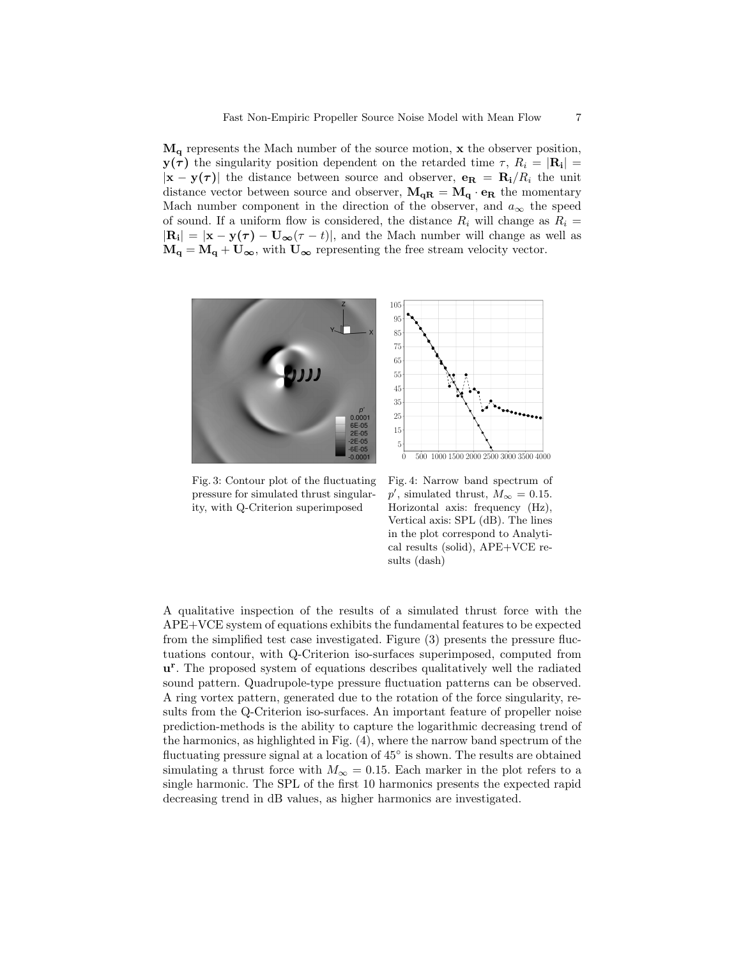$M_{q}$  represents the Mach number of the source motion,  $x$  the observer position,  $y(\tau)$  the singularity position dependent on the retarded time  $\tau$ ,  $R_i = |\mathbf{R_i}| =$  $|\mathbf{x} - \mathbf{y}(\tau)|$  the distance between source and observer,  $\mathbf{e_R} = \mathbf{R_i}/R_i$  the unit distance vector between source and observer,  $\mathbf{M}_{\mathbf{qR}} = \mathbf{M}_{\mathbf{q}} \cdot \mathbf{e}_{\mathbf{R}}$  the momentary Mach number component in the direction of the observer, and  $a_{\infty}$  the speed of sound. If a uniform flow is considered, the distance  $R_i$  will change as  $R_i =$  $|\mathbf{R_i}| = |\mathbf{x} - \mathbf{y}(\tau) - \mathbf{U_{\infty}}(\tau - t)|$ , and the Mach number will change as well as  $M_{q} = M_{q} + U_{\infty}$ , with  $U_{\infty}$  representing the free stream velocity vector.



Fig. 3: Contour plot of the fluctuating pressure for simulated thrust singularity, with Q-Criterion superimposed



A qualitative inspection of the results of a simulated thrust force with the APE+VCE system of equations exhibits the fundamental features to be expected from the simplified test case investigated. Figure (3) presents the pressure fluctuations contour, with Q-Criterion iso-surfaces superimposed, computed from u<sup>r</sup>. The proposed system of equations describes qualitatively well the radiated sound pattern. Quadrupole-type pressure fluctuation patterns can be observed. A ring vortex pattern, generated due to the rotation of the force singularity, results from the Q-Criterion iso-surfaces. An important feature of propeller noise prediction-methods is the ability to capture the logarithmic decreasing trend of the harmonics, as highlighted in Fig. (4), where the narrow band spectrum of the fluctuating pressure signal at a location of  $45^{\circ}$  is shown. The results are obtained simulating a thrust force with  $M_{\infty} = 0.15$ . Each marker in the plot refers to a single harmonic. The SPL of the first 10 harmonics presents the expected rapid decreasing trend in dB values, as higher harmonics are investigated.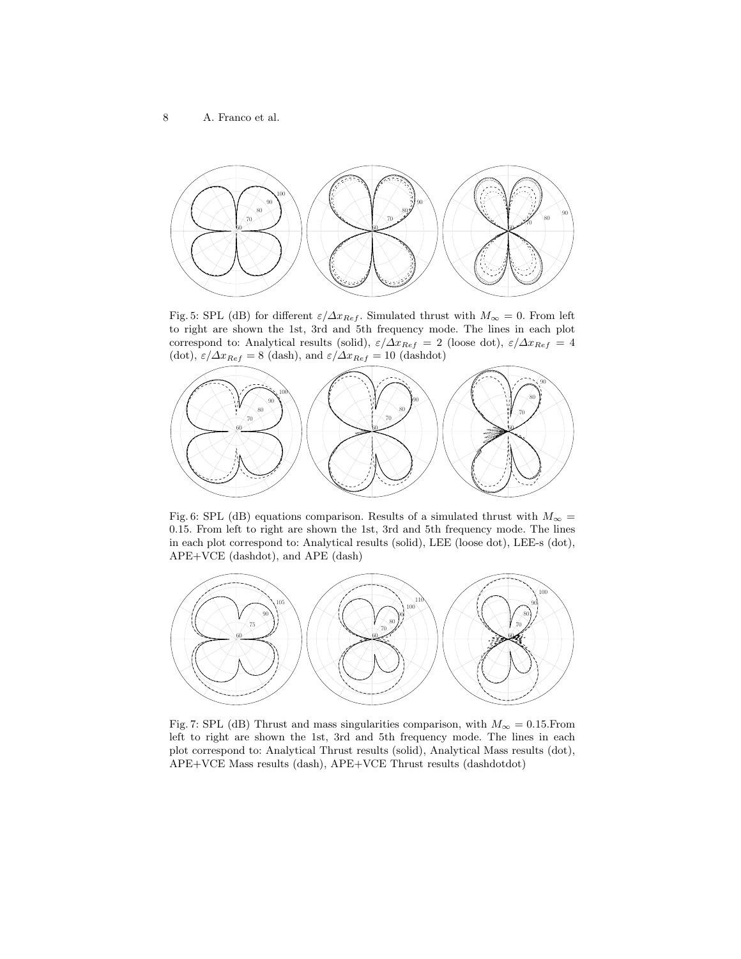

Fig. 5: SPL (dB) for different  $\varepsilon/\Delta x_{Ref}$ . Simulated thrust with  $M_{\infty} = 0$ . From left to right are shown the 1st, 3rd and 5th frequency mode. The lines in each plot correspond to: Analytical results (solid),  $\varepsilon/\Delta x_{Ref} = 2$  (loose dot),  $\varepsilon/\Delta x_{Ref} = 4$ (dot),  $\varepsilon/\Delta x_{Ref} = 8$  (dash), and  $\varepsilon/\Delta x_{Ref} = 10$  (dashdot)



Fig. 6: SPL (dB) equations comparison. Results of a simulated thrust with  $M_{\infty}$  = .15. From left to right are shown the 1st, 3rd and 5th frequency mode. The lines in each plot correspond to: Analytical results (solid), LEE (loose dot), LEE-s (dot), APE+VCE (dashdot), and APE (dash)



Fig. 7: SPL (dB) Thrust and mass singularities comparison, with  $M_{\infty} = 0.15$ . From left to right are shown the 1st, 3rd and 5th frequency mode. The lines in each plot correspond to: Analytical Thrust results (solid), Analytical Mass results (dot), APE+VCE Mass results (dash), APE+VCE Thrust results (dashdotdot)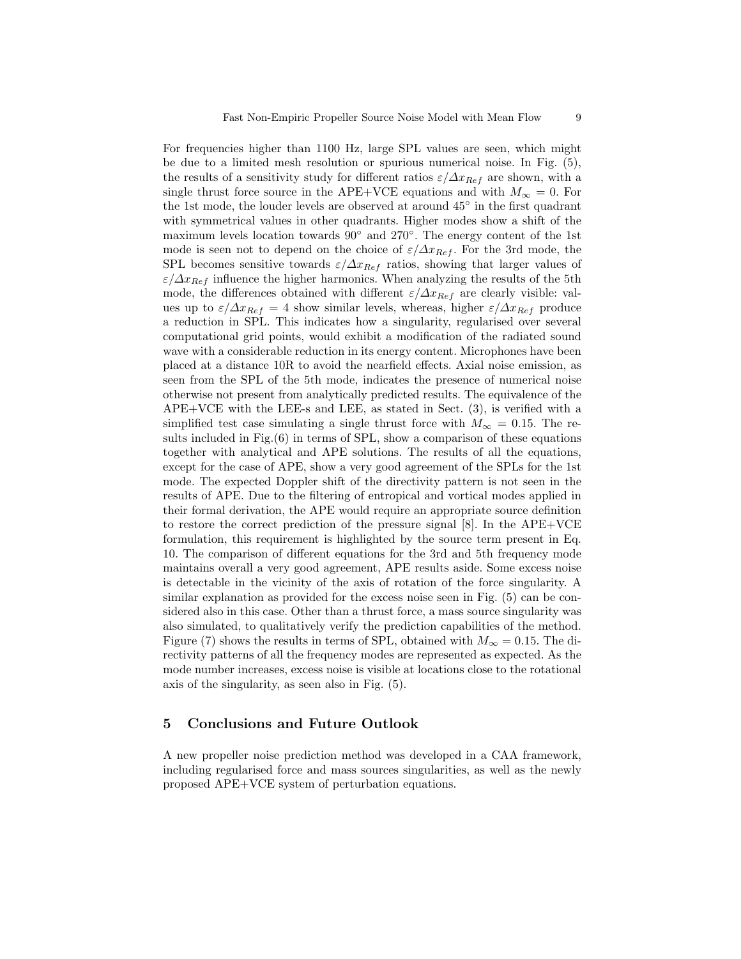For frequencies higher than 1100 Hz, large SPL values are seen, which might be due to a limited mesh resolution or spurious numerical noise. In Fig. (5), the results of a sensitivity study for different ratios  $\varepsilon/\Delta x_{Ref}$  are shown, with a single thrust force source in the APE+VCE equations and with  $M_{\infty} = 0$ . For the 1st mode, the louder levels are observed at around 45◦ in the first quadrant with symmetrical values in other quadrants. Higher modes show a shift of the maximum levels location towards 90<sup>°</sup> and 270<sup>°</sup>. The energy content of the 1st mode is seen not to depend on the choice of  $\varepsilon/\Delta x_{Ref}$ . For the 3rd mode, the SPL becomes sensitive towards  $\varepsilon/\Delta x_{Ref}$  ratios, showing that larger values of  $\varepsilon/\Delta x_{Ref}$  influence the higher harmonics. When analyzing the results of the 5th mode, the differences obtained with different  $\varepsilon/\Delta x_{Ref}$  are clearly visible: values up to  $\varepsilon/\Delta x_{Ref} = 4$  show similar levels, whereas, higher  $\varepsilon/\Delta x_{Ref}$  produce a reduction in SPL. This indicates how a singularity, regularised over several computational grid points, would exhibit a modification of the radiated sound wave with a considerable reduction in its energy content. Microphones have been placed at a distance 10R to avoid the nearfield effects. Axial noise emission, as seen from the SPL of the 5th mode, indicates the presence of numerical noise otherwise not present from analytically predicted results. The equivalence of the APE+VCE with the LEE-s and LEE, as stated in Sect. (3), is verified with a simplified test case simulating a single thrust force with  $M_{\infty} = 0.15$ . The results included in Fig.(6) in terms of SPL, show a comparison of these equations together with analytical and APE solutions. The results of all the equations, except for the case of APE, show a very good agreement of the SPLs for the 1st mode. The expected Doppler shift of the directivity pattern is not seen in the results of APE. Due to the filtering of entropical and vortical modes applied in their formal derivation, the APE would require an appropriate source definition to restore the correct prediction of the pressure signal [8]. In the APE+VCE formulation, this requirement is highlighted by the source term present in Eq. 10. The comparison of different equations for the 3rd and 5th frequency mode maintains overall a very good agreement, APE results aside. Some excess noise is detectable in the vicinity of the axis of rotation of the force singularity. A similar explanation as provided for the excess noise seen in Fig. (5) can be considered also in this case. Other than a thrust force, a mass source singularity was also simulated, to qualitatively verify the prediction capabilities of the method. Figure (7) shows the results in terms of SPL, obtained with  $M_{\infty} = 0.15$ . The directivity patterns of all the frequency modes are represented as expected. As the mode number increases, excess noise is visible at locations close to the rotational axis of the singularity, as seen also in Fig. (5).

#### 5 Conclusions and Future Outlook

A new propeller noise prediction method was developed in a CAA framework, including regularised force and mass sources singularities, as well as the newly proposed APE+VCE system of perturbation equations.